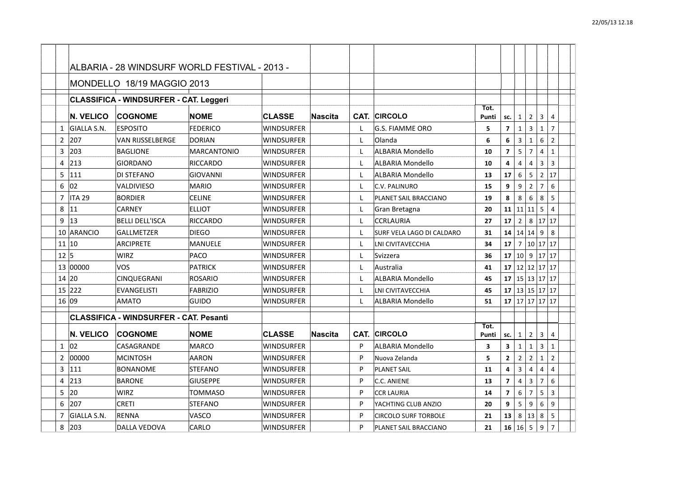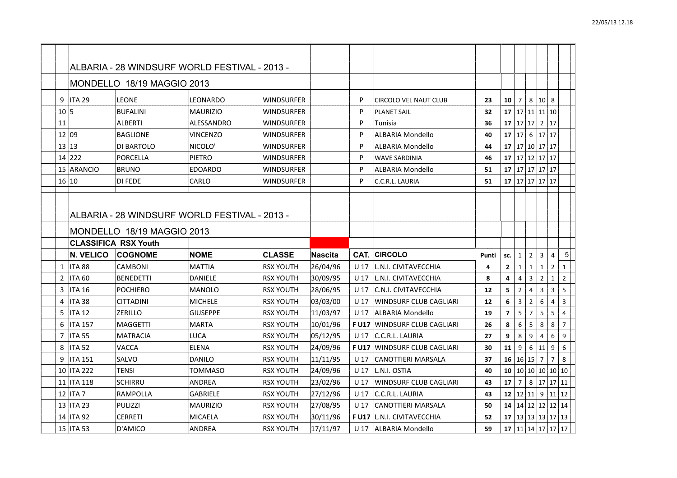| 9              | <b>ITA 29</b>    | <b>LEONE</b>                | LEONARDO                                      | <b>WINDSURFER</b> |                | P               | <b>CIRCOLO VEL NAUT CLUB</b>       | 23    | 10             | $\overline{7}$ |                | 8 10 8                  |                     |                         |  |
|----------------|------------------|-----------------------------|-----------------------------------------------|-------------------|----------------|-----------------|------------------------------------|-------|----------------|----------------|----------------|-------------------------|---------------------|-------------------------|--|
| 10 5           |                  | <b>BUFALINI</b>             | <b>MAURIZIO</b>                               | WINDSURFER        |                | P               | <b>PLANET SAIL</b>                 | 32    |                |                |                |                         | $17$ 17 11 11 10    |                         |  |
| 11             |                  | <b>ALBERTI</b>              | ALESSANDRO                                    | <b>WINDSURFER</b> |                | P               | <b>Tunisia</b>                     | 36    | 17             |                | 17 17          |                         | 2 17                |                         |  |
| 12 09          |                  | <b>BAGLIONE</b>             | <b>VINCENZO</b>                               | <b>WINDSURFER</b> |                | P               | <b>ALBARIA Mondello</b>            | 40    | 17             | 17             |                |                         | 6 17 17             |                         |  |
| 13 13          |                  | DI BARTOLO                  | NICOLO'                                       | <b>WINDSURFER</b> |                | P               | ALBARIA Mondello                   | 44    |                |                |                |                         | 17 17 10 17 17      |                         |  |
|                | 14 222           | PORCELLA                    | <b>PIETRO</b>                                 | <b>WINDSURFER</b> |                | P               | <b>WAVE SARDINIA</b>               | 46    | 17             |                |                |                         | 17 12 17 17         |                         |  |
|                | 15 ARANCIO       | <b>BRUNO</b>                | <b>EDOARDO</b>                                | <b>WINDSURFER</b> |                | P               | ALBARIA Mondello                   | 51    |                |                |                |                         | $17$ 17 17 17 17 17 |                         |  |
| 16 10          |                  | <b>DI FEDE</b>              | CARLO                                         | <b>WINDSURFER</b> |                | P               | C.C.R.L. LAURIA                    | 51    |                |                |                |                         | $17$ 17 17 17 17    |                         |  |
|                |                  |                             |                                               |                   |                |                 |                                    |       |                |                |                |                         |                     |                         |  |
|                |                  |                             |                                               |                   |                |                 |                                    |       |                |                |                |                         |                     |                         |  |
|                |                  |                             | ALBARIA - 28 WINDSURF WORLD FESTIVAL - 2013 - |                   |                |                 |                                    |       |                |                |                |                         |                     |                         |  |
|                |                  | MONDELLO 18/19 MAGGIO 2013  |                                               |                   |                |                 |                                    |       |                |                |                |                         |                     |                         |  |
|                |                  |                             |                                               |                   |                |                 |                                    |       |                |                |                |                         |                     |                         |  |
|                |                  | <b>CLASSIFICA RSX Youth</b> |                                               |                   |                |                 |                                    |       |                |                |                |                         |                     |                         |  |
|                | <b>N. VELICO</b> | <b>COGNOME</b>              | <b>NOME</b>                                   | <b>CLASSE</b>     | <b>Nascita</b> | CAT.            | <b>CIRCOLO</b>                     | Punti | sc.            | $\mathbf{1}$   | $2^{\circ}$    | $\overline{\mathbf{3}}$ | $\overline{4}$      | 5 <sup>2</sup>          |  |
| $\mathbf{1}$   | <b>ITA 88</b>    | <b>CAMBONI</b>              | <b>MATTIA</b>                                 | <b>RSX YOUTH</b>  | 26/04/96       | U 17            | L.N.I. CIVITAVECCHIA               | 4     | $\overline{2}$ | $\mathbf{1}$   | 1              | $\mathbf{1}$            | $\overline{2}$      | $\mathbf{1}$            |  |
| $\overline{2}$ | <b>ITA 60</b>    | <b>BENEDETTI</b>            | <b>DANIELE</b>                                | <b>RSX YOUTH</b>  | 30/09/95       | U 17            | L.N.I. CIVITAVECCHIA               | 8     | 4              | 4              | $\overline{3}$ | $\overline{2}$          | $\mathbf{1}$        | $\overline{2}$          |  |
| 3              | <b>ITA 16</b>    | <b>POCHIERO</b>             | <b>MANOLO</b>                                 | <b>RSX YOUTH</b>  | 28/06/95       | U 17            | C.N.I. CIVITAVECCHIA               | 12    | 5              | $\overline{2}$ | $\overline{4}$ | 3                       | 3                   | 5                       |  |
| 4              | ITA 38           | <b>CITTADINI</b>            | <b>MICHELE</b>                                | <b>RSX YOUTH</b>  | 03/03/00       | U 17            | WINDSURF CLUB CAGLIARI             | 12    | 6              | 3              | $\overline{2}$ | 6                       | $\overline{4}$      | $\overline{\mathbf{3}}$ |  |
| 5              | <b>ITA 12</b>    | <b>ZERILLO</b>              | <b>GIUSEPPE</b>                               | <b>RSX YOUTH</b>  | 11/03/97       | U <sub>17</sub> | ALBARIA Mondello                   | 19    | $\overline{7}$ | 5              | $\overline{7}$ | 5                       | 5                   | $\overline{4}$          |  |
| 6              | <b>ITA 157</b>   | <b>MAGGETTI</b>             | <b>MARTA</b>                                  | <b>RSX YOUTH</b>  | 10/01/96       |                 | <b>FU17 WINDSURF CLUB CAGLIARI</b> | 26    | 8              | 6              | 5              | 8                       | 8                   | $\overline{7}$          |  |
| 7              | <b>ITA 55</b>    | <b>MATRACIA</b>             | <b>LUCA</b>                                   | <b>RSX YOUTH</b>  | 05/12/95       | U 17            | C.C.R.L. LAURIA                    | 27    | 9              | 8              | 9              | 4                       | 6                   | 9                       |  |
| 8              | <b>ITA 52</b>    | <b>VACCA</b>                | <b>ELENA</b>                                  | <b>RSX YOUTH</b>  | 24/09/96       | <b>FU17</b>     | WINDSURF CLUB CAGLIARI             | 30    | 11             | 9              | 6              | 11                      | 9                   | 6                       |  |
| 9              | ITA 151          | SALVO                       | DANILO                                        | <b>RSX YOUTH</b>  | 11/11/95       | U 17            | CANOTTIERI MARSALA                 | 37    | 16 16 15       |                |                | $\overline{7}$          | $\overline{7}$      | 8                       |  |
|                | 10 ITA 222       | <b>TENSI</b>                | <b>TOMMASO</b>                                | <b>RSX YOUTH</b>  | 24/09/96       | U 17            | L.N.I. OSTIA                       | 40    |                |                |                |                         | 10 10 10 10 10 10   |                         |  |
|                | 11   ITA 118     | <b>SCHIRRU</b>              | <b>ANDREA</b>                                 | <b>RSX YOUTH</b>  | 23/02/96       | U 17            | WINDSURF CLUB CAGLIARI             | 43    | 17             | $\overline{7}$ |                |                         | 8 17 17 11          |                         |  |
| 12             | ITA 7            | <b>RAMPOLLA</b>             | <b>GABRIELE</b>                               | <b>RSX YOUTH</b>  | 27/12/96       | U 17            | C.C.R.L. LAURIA                    | 43    | 12             |                | 12 11          | 9                       |                     | $11$   12               |  |
|                | 13 ITA 23        | <b>PULIZZI</b>              | <b>MAURIZIO</b>                               | <b>RSX YOUTH</b>  | 27/08/95       | U <sub>17</sub> | CANOTTIERI MARSALA                 | 50    |                |                |                |                         | 14 14 12 12 12 14   |                         |  |
| 14             | <b>ITA 92</b>    | <b>CERRETI</b>              | <b>MICAELA</b>                                | <b>RSX YOUTH</b>  | 30/11/96       |                 | F U17   L.N.I. CIVITAVECCHIA       | 52    |                |                |                |                         | 17 13 13 13 17 13   |                         |  |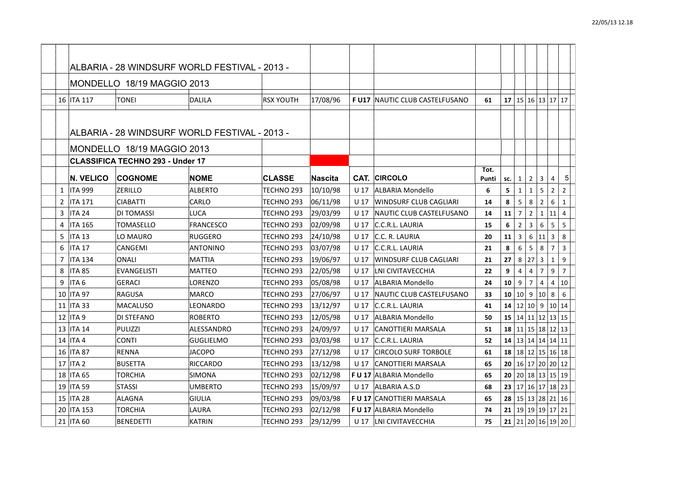|   | 16   ITA 117     | TONEI                                         | DALILA           | <b>RSX YOUTH</b>      |          |                 | <b>F U17 INAUTIC CLUB CASTELFUSANO</b> |       |     |                |                | 17   15   16   13   17   17                  |                |
|---|------------------|-----------------------------------------------|------------------|-----------------------|----------|-----------------|----------------------------------------|-------|-----|----------------|----------------|----------------------------------------------|----------------|
|   |                  |                                               |                  |                       | 17/08/96 |                 |                                        | 61    |     |                |                |                                              |                |
|   |                  |                                               |                  |                       |          |                 |                                        |       |     |                |                |                                              |                |
|   |                  | ALBARIA - 28 WINDSURF WORLD FESTIVAL - 2013 - |                  |                       |          |                 |                                        |       |     |                |                |                                              |                |
|   |                  | MONDELLO 18/19 MAGGIO 2013                    |                  |                       |          |                 |                                        |       |     |                |                |                                              |                |
|   |                  | <b>CLASSIFICA TECHNO 293 - Under 17</b>       |                  |                       |          |                 |                                        |       |     |                |                |                                              |                |
|   |                  |                                               |                  |                       |          |                 | CAT. CIRCOLO                           | Tot.  |     |                |                |                                              |                |
|   | <b>N. VELICO</b> | <b>COGNOME</b>                                | <b>NOME</b>      | <b>CLASSE</b>         | Nascita  |                 |                                        | Punti | SC. | $\mathbf{1}$   | $\overline{2}$ | 3<br>4                                       | 5 <sup>1</sup> |
|   | 1   ITA 999      | <b>ZERILLO</b>                                | <b>ALBERTO</b>   | TECHNO 293            | 10/10/98 | U 17            | ALBARIA Mondello                       | 6     | 5   |                | $\mathbf{1}$   | 5<br>$\overline{2}$                          | $\overline{2}$ |
|   | 2 ITA 171        | <b>CIABATTI</b>                               | CARLO            | TECHNO 293            | 06/11/98 | U <sub>17</sub> | WINDSURF CLUB CAGLIARI                 | 14    | 8   | 5              | 8              | $\overline{2}$<br>6                          | $\mathbf{1}$   |
| 3 | <b>ITA 24</b>    | DI TOMASSI                                    | LUCA             | TECHNO 293            | 29/03/99 | U 17            | INAUTIC CLUB CASTELFUSANO              | 14    | 11  | $\overline{7}$ | $\overline{2}$ | 11<br>1                                      | 4              |
| 4 | <b>ITA 165</b>   | TOMASELLO                                     | <b>FRANCESCO</b> | TECHNO 293            | 02/09/98 | U 17            | C.C.R.L. LAURIA                        | 15    | 6   | $\overline{2}$ | $\overline{3}$ | 6<br>5                                       | 5              |
| 5 | ITA 13           | LO MAURO                                      | <b>RUGGERO</b>   | TECHNO 293            | 24/10/98 | U 17            | C.C. R. LAURIA                         | 20    | 11  | $\overline{3}$ | 6              | $\mathbf{3}$<br>11                           | 8              |
| 6 | <b>ITA 17</b>    | CANGEMI                                       | <b>ANTONINO</b>  | TECHNO 293            | 03/07/98 | U 17            | C.C.R.L. LAURIA                        | 21    | 8   | 6              | 5              | $\overline{7}$<br>8                          | 3              |
| 7 | <b>ITA 134</b>   | <b>ONALI</b>                                  | <b>MATTIA</b>    | TECHNO 293            | 19/06/97 | U 17            | WINDSURF CLUB CAGLIARI                 | 21    | 27  | 8              | 27             | 3<br>1                                       | 9              |
| 8 | <b>ITA 85</b>    | <b>EVANGELISTI</b>                            | <b>MATTEO</b>    | TECHNO 293            | 22/05/98 | U <sub>17</sub> | LNI CIVITAVECCHIA                      | 22    | 9   | $\overline{4}$ | $\overline{4}$ | $\overline{7}$<br>9                          | $\overline{7}$ |
| 9 | ITA <sub>6</sub> | <b>GERACI</b>                                 | LORENZO          | TECHNO 293            | 05/08/98 | U 17            | ALBARIA Mondello                       | 24    | 10  | 9              | $\overline{7}$ | $\overline{4}$<br>4                          | 10             |
|   | 10   ITA 97      | <b>RAGUSA</b>                                 | <b>MARCO</b>     | TECHNO 293            | 27/06/97 | U 17            | INAUTIC CLUB CASTELFUSANO              | 33    | 10  | 10             | 9              | 10<br>8                                      | 6              |
|   | 11   ITA 33      | <b>MACALUSO</b>                               | LEONARDO         | TECHNO <sub>293</sub> | 13/12/97 | U 17            | C.C.R.L. LAURIA                        | 41    | 14  |                |                | 12 10 9 10 14                                |                |
|   | 12   ITA 9       | DI STEFANO                                    | <b>ROBERTO</b>   | TECHNO 293            | 12/05/98 | U 17            | <b>ALBARIA Mondello</b>                | 50    |     |                |                | 15   14   11   12   13   15                  |                |
|   | 13   ITA 14      | PULIZZI                                       | ALESSANDRO       | TECHNO 293            | 24/09/97 | U 17            | <b>CANOTTIERI MARSALA</b>              | 51    |     |                |                | $18 \mid 11 \mid 15 \mid 18 \mid 12 \mid 13$ |                |
|   | 14   ITA 4       | <b>CONTI</b>                                  | <b>GUGLIELMO</b> | TECHNO 293            | 03/03/98 | U 17            | C.C.R.L. LAURIA                        | 52    | 14  |                |                | 13 14 14 14 11                               |                |
|   | 16   ITA 87      | <b>RENNA</b>                                  | <b>JACOPO</b>    | TECHNO 293            | 27/12/98 | U 17            | <b>CIRCOLO SURF TORBOLE</b>            | 61    | 18  |                |                | 18 12 15 16 18                               |                |
|   | 17 ITA 2         | <b>BUSETTA</b>                                | <b>RICCARDO</b>  | TECHNO <sub>293</sub> | 13/12/98 | U 17            | CANOTTIERI MARSALA                     | 65    | 20  |                |                | 16 17 20 20 12                               |                |
|   | 18   ITA 65      | TORCHIA                                       | SIMONA           | TECHNO 293            | 02/12/98 |                 | F U 17 ALBARIA Mondello                | 65    |     |                |                | 20   20   18   13   15   19                  |                |
|   | 19   ITA 59      | <b>STASSI</b>                                 | <b>UMBERTO</b>   | TECHNO 293            | 15/09/97 | U 17            | ALBARIA A.S.D                          | 68    | 23  |                |                | 17 16 17 18 23                               |                |
|   | 15   ITA 28      | <b>ALAGNA</b>                                 | <b>GIULIA</b>    | TECHNO 293            | 09/03/98 |                 | <b>F U 17 CANOTTIERI MARSALA</b>       | 65    |     |                |                | <b>28</b> 15 13 28 21 16                     |                |
|   | 20 ITA 153       | <b>TORCHIA</b>                                | LAURA            | TECHNO 293            | 02/12/98 |                 | <b>FU 17 ALBARIA Mondello</b>          | 74    | 21  |                |                | 19 19 19 17 21                               |                |
|   | 21 ITA 60        | <b>BENEDETTI</b>                              | <b>KATRIN</b>    | TECHNO 293            | 29/12/99 |                 | U 17   LNI CIVITAVECCHIA               | 75    |     |                |                | <b>21</b>   21   20   16   19   20           |                |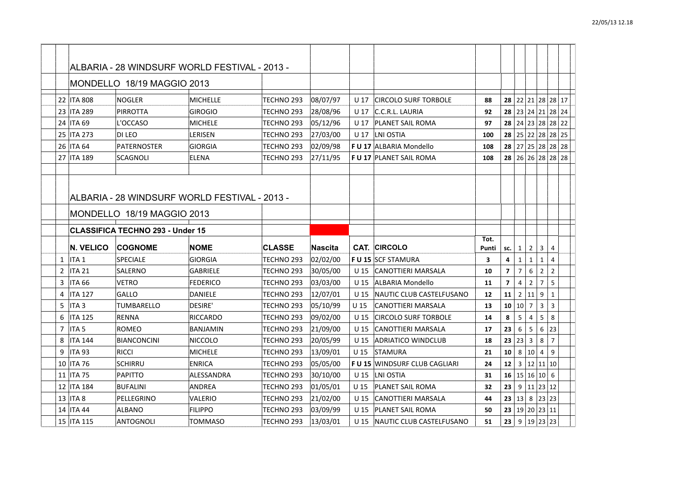| 22 ITA 808                         | <b>NOGLER</b>                           | <b>MICHELLE</b>                               | TECHNO 293    | 08/07/97 | U 17            | <b>CIRCOLO SURF TORBOLE</b>         | 88    |                 |                |                        |                | 28 22 21 28 28 17 |  |
|------------------------------------|-----------------------------------------|-----------------------------------------------|---------------|----------|-----------------|-------------------------------------|-------|-----------------|----------------|------------------------|----------------|-------------------|--|
| 23<br><b>ITA 289</b>               | <b>PIRROTTA</b>                         | GIROGIO                                       | TECHNO 293    | 28/08/96 | U 17            | C.C.R.L. LAURIA                     | 92    |                 |                |                        |                | 28 23 24 21 28 24 |  |
| 24 ITA 69                          | L'OCCASO                                | <b>MICHELE</b>                                | TECHNO 293    | 05/12/96 | U 17            | PLANET SAIL ROMA                    | 97    |                 |                |                        |                | 28 24 23 28 28 22 |  |
| 25<br><b>ITA 273</b>               | DI LEO                                  | LERISEN                                       | TECHNO 293    | 27/03/00 | U 17            | LNI OSTIA                           | 100   |                 |                |                        |                | 28 25 22 28 28 25 |  |
| 26   ITA 64                        | PATERNOSTER                             | <b>GIORGIA</b>                                | TECHNO 293    | 02/09/98 |                 | F U 17 ALBARIA Mondello             | 108   |                 |                |                        |                | 28 27 25 28 28 28 |  |
| 27 ITA 189                         | SCAGNOLI                                | ELENA                                         | TECHNO 293    | 27/11/95 |                 | <b>F U 17 PLANET SAIL ROMA</b>      | 108   |                 |                |                        |                | 28 26 26 28 28 28 |  |
|                                    |                                         |                                               |               |          |                 |                                     |       |                 |                |                        |                |                   |  |
|                                    |                                         | ALBARIA - 28 WINDSURF WORLD FESTIVAL - 2013 - |               |          |                 |                                     |       |                 |                |                        |                |                   |  |
|                                    | MONDELLO 18/19 MAGGIO 2013              |                                               |               |          |                 |                                     |       |                 |                |                        |                |                   |  |
|                                    | <b>CLASSIFICA TECHNO 293 - Under 15</b> |                                               |               |          |                 |                                     |       |                 |                |                        |                |                   |  |
|                                    |                                         |                                               |               |          |                 |                                     | Tot.  |                 |                |                        |                |                   |  |
| <b>N. VELICO</b>                   | <b>COGNOME</b>                          | <b>NOME</b>                                   | <b>CLASSE</b> | Nascita  |                 | <b>CAT. CIRCOLO</b>                 | Punti | SC.             | 1              | 2 <sup>1</sup>         | 3              | 4                 |  |
| $\mathbf{1}$<br>ITA <sub>1</sub>   | <b>SPECIALE</b>                         | <b>GIORGIA</b>                                | TECHNO 293    | 02/02/00 |                 | <b>F U 15 SCF STAMURA</b>           | 3     | 4               | $\mathbf{1}$   | $\mathbf{1}$           | $\mathbf{1}$   | $\overline{4}$    |  |
| $\overline{2}$<br><b>ITA 21</b>    | SALERNO                                 | <b>GABRIELE</b>                               | TECHNO 293    | 30/05/00 | U 15            | CANOTTIERI MARSALA                  | 10    | $\overline{7}$  | $\overline{7}$ | 6                      | $\overline{2}$ | $\overline{2}$    |  |
| 3<br><b>ITA 66</b>                 | <b>VETRO</b>                            | <b>FEDERICO</b>                               | TECHNO 293    | 03/03/00 | U <sub>15</sub> | ALBARIA Mondello                    | 11    | $\overline{7}$  | 4              | $\overline{2}$         | $\overline{7}$ | 5                 |  |
| <b>ITA 127</b><br>4                | GALLO                                   | DANIELE                                       | TECHNO 293    | 12/07/01 | U 15            | NAUTIC CLUB CASTELFUSANO            | 12    | 11              | $\overline{2}$ | 11                     | 9              | $\mathbf{1}$      |  |
| ITA <sub>3</sub><br>5              | TUMBARELLO                              | <b>DESIRE'</b>                                | TECHNO 293    | 05/10/99 | U <sub>15</sub> | CANOTTIERI MARSALA                  | 13    | 10 10           |                | $\overline{7}$         | 3              | 3                 |  |
| 6<br><b>ITA 125</b>                | <b>RENNA</b>                            | <b>RICCARDO</b>                               | TECHNO 293    | 09/02/00 | U <sub>15</sub> | <b>CIRCOLO SURF TORBOLE</b>         | 14    | 8               | 5              | $\overline{4}$         | 5              | 8                 |  |
| ITA <sub>5</sub><br>$\overline{7}$ | <b>ROMEO</b>                            | <b>BANJAMIN</b>                               | TECHNO 293    | 21/09/00 | $U$ 15          | <b>CANOTTIERI MARSALA</b>           | 17    | 23              | 6              | 5                      | 6              | 23                |  |
| 8<br><b>ITA 144</b>                | <b>BIANCONCINI</b>                      | <b>NICCOLO</b>                                | TECHNO 293    | 20/05/99 | U 15            | <b>ADRIATICO WINDCLUB</b>           | 18    | 23 <sub>1</sub> | 23             | $\mathbf{3}$           | 8              | $\overline{7}$    |  |
| 9<br><b>ITA 93</b>                 | <b>RICCI</b>                            | MICHELE                                       | TECHNO 293    | 13/09/01 | U 15            | STAMURA                             | 21    | 10              | 8              | 10                     | $\overline{4}$ | 9                 |  |
| 10   ITA 76                        | <b>SCHIRRU</b>                          | <b>ENRICA</b>                                 | TECHNO 293    | 05/05/00 |                 | <b>FU 15 WINDSURF CLUB CAGLIARI</b> | 24    | 12 <sup>2</sup> | 3              |                        | 12 11 10       |                   |  |
| 11   ITA 75                        | <b>PAPITTO</b>                          | ALESSANDRA                                    | TECHNO 293    | 30/10/00 | U <sub>15</sub> | LNI OSTIA                           | 31    |                 |                | 16 15 16 10 6          |                |                   |  |
| 12   ITA 184                       | <b>BUFALINI</b>                         | ANDREA                                        | TECHNO 293    | 01/05/01 | U 15            | <b>PLANET SAIL ROMA</b>             | 32    | 23              |                | 9   11   23   12       |                |                   |  |
| 13   ITA 8                         | PELLEGRINO                              | VALERIO                                       | TECHNO 293    | 21/02/00 | U 15            | CANOTTIERI MARSALA                  | 44    | 23 13           |                |                        | 8 23 23        |                   |  |
| <b>ITA 44</b><br>14                | <b>ALBANO</b>                           | <b>FILIPPO</b>                                | TECHNO 293    | 03/09/99 | U 15            | PLANET SAIL ROMA                    | 50    |                 |                | 23   19   20   23   11 |                |                   |  |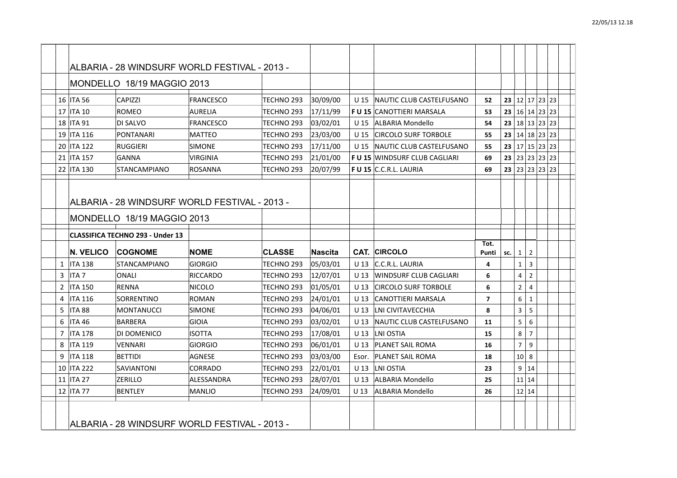|                | 16 ITA 56        | <b>CAPIZZI</b>                          | <b>FRANCESCO</b>                              | TECHNO <sub>293</sub> | 30/09/00       | U 15            | NAUTIC CLUB CASTELFUSANO            | 52             | 23  |                |                | 12 17 23 23                   |  |
|----------------|------------------|-----------------------------------------|-----------------------------------------------|-----------------------|----------------|-----------------|-------------------------------------|----------------|-----|----------------|----------------|-------------------------------|--|
|                | 17   ITA 10      | ROMEO                                   | <b>AURELIA</b>                                | TECHNO 293            | 17/11/99       |                 | <b>F U 15 CANOTTIERI MARSALA</b>    | 53             |     |                |                | <b>23</b>   16   14   23   23 |  |
|                | 18 ITA 91        | DI SALVO                                | <b>FRANCESCO</b>                              | TECHNO 293            | 03/02/01       | U 15            | ALBARIA Mondello                    | 54             |     |                |                | 23   18   13   23   23        |  |
|                | 19 ITA 116       | <b>PONTANARI</b>                        | <b>MATTEO</b>                                 | TECHNO 293            | 23/03/00       | U <sub>15</sub> | <b>CIRCOLO SURF TORBOLE</b>         | 55             |     |                |                | 23   14   18   23   23        |  |
|                | 20 ITA 122       | <b>RUGGIERI</b>                         | <b>SIMONE</b>                                 | TECHNO 293            | 17/11/00       | U <sub>15</sub> | <b>NAUTIC CLUB CASTELFUSANO</b>     | 55             |     |                |                | 23 $ 17 15 23 23$             |  |
|                | 21 ITA 157       | <b>GANNA</b>                            | <b>VIRGINIA</b>                               | TECHNO 293            | 21/01/00       |                 | <b>FU 15 WINDSURF CLUB CAGLIARI</b> | 69             |     |                |                | 23 23 23 23 23                |  |
|                | 22 ITA 130       | <b>STANCAMPIANO</b>                     | <b>ROSANNA</b>                                | TECHNO 293            | 20/07/99       |                 | <b>FU 15 C.C.R.L. LAURIA</b>        | 69             |     |                |                | 23 23 23 23 23                |  |
|                |                  |                                         |                                               |                       |                |                 |                                     |                |     |                |                |                               |  |
|                |                  |                                         |                                               |                       |                |                 |                                     |                |     |                |                |                               |  |
|                |                  |                                         | ALBARIA - 28 WINDSURF WORLD FESTIVAL - 2013 - |                       |                |                 |                                     |                |     |                |                |                               |  |
|                |                  | MONDELLO 18/19 MAGGIO 2013              |                                               |                       |                |                 |                                     |                |     |                |                |                               |  |
|                |                  | <b>CLASSIFICA TECHNO 293 - Under 13</b> |                                               |                       |                |                 |                                     |                |     |                |                |                               |  |
|                |                  |                                         |                                               |                       |                |                 |                                     |                |     |                |                |                               |  |
|                |                  |                                         |                                               |                       |                |                 |                                     | Tot.           |     |                |                |                               |  |
|                | <b>N. VELICO</b> | <b>COGNOME</b>                          | <b>NOME</b>                                   | <b>CLASSE</b>         | <b>Nascita</b> |                 | <b>CAT. CIRCOLO</b>                 | Punti          | sc. | $\mathbf{1}$   | $\overline{2}$ |                               |  |
|                | $1$   ITA 138    | <b>STANCAMPIANO</b>                     | <b>GIORGIO</b>                                | TECHNO 293            | 05/03/01       | U 13            | C.C.R.L. LAURIA                     | 4              |     | $\mathbf{1}$   | $\overline{3}$ |                               |  |
| 3              | <b>ITA7</b>      | ONALI                                   | <b>RICCARDO</b>                               | TECHNO 293            | 12/07/01       | U 13            | WINDSURF CLUB CAGLIARI              | 6              |     | 4              | $\overline{2}$ |                               |  |
| $\mathbf{2}$   | <b>ITA 150</b>   | <b>RENNA</b>                            | NICOLO                                        | TECHNO 293            | 01/05/01       | U 13            | <b>CIRCOLO SURF TORBOLE</b>         | 6              |     | $\overline{2}$ | 4              |                               |  |
| 4              | ITA 116          | SORRENTINO                              | <b>ROMAN</b>                                  | TECHNO 293            | 24/01/01       | U 13            | CANOTTIERI MARSALA                  | $\overline{7}$ |     | 6              | $\mathbf{1}$   |                               |  |
| 5              | <b>ITA 88</b>    | MONTANUCCI                              | <b>SIMONE</b>                                 | TECHNO <sub>293</sub> | 04/06/01       | U 13            | LNI CIVITAVECCHIA                   | 8              |     | $\overline{3}$ | 5              |                               |  |
| 6              | <b>ITA 46</b>    | <b>BARBERA</b>                          | GIOIA                                         | TECHNO 293            | 03/02/01       | U 13            | NAUTIC CLUB CASTELFUSANO            | 11             |     | 5              | 6              |                               |  |
| $\overline{7}$ | <b>ITA 178</b>   | DI DOMENICO                             | ISOTTA                                        | TECHNO <sub>293</sub> | 17/08/01       | U 13            | LNI OSTIA                           | 15             |     | 8              | $\overline{7}$ |                               |  |
| 8              | ITA 119          | <b>VENNARI</b>                          | <b>GIORGIO</b>                                | TECHNO 293            | 06/01/01       | U 13            | <b>PLANET SAIL ROMA</b>             | 16             |     | $\overline{7}$ | 9              |                               |  |
| 9              | <b>ITA 118</b>   | <b>BETTIDI</b>                          | <b>AGNESE</b>                                 | TECHNO 293            | 03/03/00       | Esor.           | <b>PLANET SAIL ROMA</b>             | 18             |     | 10             | 8              |                               |  |
|                | 10 ITA 222       | <b>SAVIANTONI</b>                       | <b>CORRADO</b>                                | TECHNO 293            | 22/01/01       | U 13            | LNI OSTIA                           | 23             |     | 9              | 14             |                               |  |
|                | 11   ITA 27      | ZERILLO                                 | ALESSANDRA                                    | TECHNO <sub>293</sub> | 28/07/01       | U 13            | ALBARIA Mondello                    | 25             |     |                | 11 14          |                               |  |
|                | 12 ITA 77        | <b>BENTLEY</b>                          | MANLIO                                        | TECHNO 293            | 24/09/01       | U 13            | <b>ALBARIA Mondello</b>             | 26             |     |                | $12$   14      |                               |  |
|                |                  |                                         |                                               |                       |                |                 |                                     |                |     |                |                |                               |  |
|                |                  |                                         | ALBARIA - 28 WINDSURF WORLD FESTIVAL - 2013 - |                       |                |                 |                                     |                |     |                |                |                               |  |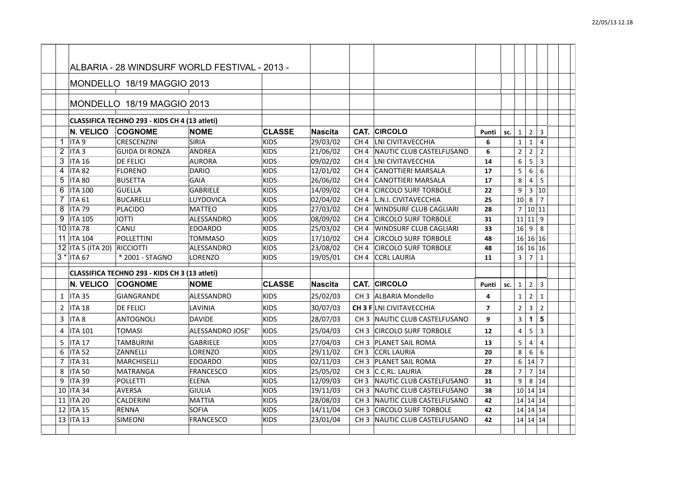|   |                             | MONDELLO 18/19 MAGGIO 2013                    |                  |               |                |                 |                                 |                   |     |                |                         |                |  |
|---|-----------------------------|-----------------------------------------------|------------------|---------------|----------------|-----------------|---------------------------------|-------------------|-----|----------------|-------------------------|----------------|--|
|   |                             | CLASSIFICA TECHNO 293 - KIDS CH 4 (13 atleti) |                  |               |                |                 |                                 |                   |     |                |                         |                |  |
|   | <b>N. VELICO</b>            | <b>COGNOME</b>                                | <b>NOME</b>      | <b>CLASSE</b> | <b>Nascita</b> | CAT.            | <b>CIRCOLO</b>                  | Punti             | SC. | $\mathbf{1}$   | $\overline{2}$          | 3              |  |
| 1 | $\Pi A 9$                   | <b>CRESCENZINI</b>                            | SIRIA            | <b>KIDS</b>   | 29/03/02       | CH <sub>4</sub> | LNI CIVITAVECCHIA               | 6                 |     | $\mathbf{1}$   | $\mathbf{1}$            | $\overline{4}$ |  |
| 2 | ITA <sub>3</sub>            | <b>GUIDA DI RONZA</b>                         | <b>ANDREA</b>    | <b>KIDS</b>   | 21/06/02       | CH <sub>4</sub> | NAUTIC CLUB CASTELFUSANO        | 6                 |     | $\overline{2}$ | $\mathbf 2$             | $\overline{2}$ |  |
| 3 | <b>ITA 16</b>               | <b>DE FELICI</b>                              | <b>AURORA</b>    | <b>KIDS</b>   | 09/02/02       | CH <sub>4</sub> | LNI CIVITAVECCHIA               | 14                |     | 6              | 5                       | $\overline{3}$ |  |
| 4 | <b>ITA 82</b>               | FLORENO                                       | <b>DARIO</b>     | <b>KIDS</b>   | 12/01/02       | CH <sub>4</sub> | <b>CANOTTIERI MARSALA</b>       | 17                |     | 5              | 6                       | 6              |  |
| 5 | <b>ITA 80</b>               | <b>BUSETTA</b>                                | <b>GAIA</b>      | <b>KIDS</b>   | 26/06/02       | CH <sub>4</sub> | <b>CANOTTIERI MARSALA</b>       | 17                |     | 8              | 4                       | 5              |  |
| 6 | <b>ITA 100</b>              | <b>GUELLA</b>                                 | <b>GABRIELE</b>  | <b>KIDS</b>   | 14/09/02       | CH <sub>4</sub> | <b>CIRCOLO SURF TORBOLE</b>     | 22                |     | 9              |                         | 3 10           |  |
| 7 | ITA <sub>61</sub>           | <b>BUCARELLI</b>                              | LUYDOVICA        | <b>KIDS</b>   | 02/04/02       | CH <sub>4</sub> | L.N.I. CIVITAVECCHIA            | 25                |     | 10             | 8                       | $\overline{7}$ |  |
| 8 | ITA 79                      | <b>PLACIDO</b>                                | <b>MATTEO</b>    | <b>KIDS</b>   | 27/03/02       | CH <sub>4</sub> | WINDSURF CLUB CAGLIARI          | 28                |     | $\overline{7}$ | 10 11                   |                |  |
| 9 | <b>ITA 105</b>              | <b>IOTTI</b>                                  | ALESSANDRO       | <b>KIDS</b>   | 08/09/02       | CH <sub>4</sub> | <b>CIRCOLO SURF TORBOLE</b>     | 31                |     | 11             | $11$   9                |                |  |
|   | 10 ITA 78                   | CANU                                          | <b>EDOARDO</b>   | <b>KIDS</b>   | 25/03/02       | CH <sub>4</sub> | WINDSURF CLUB CAGLIARI          | 33                |     | 16             | 9                       | 8              |  |
|   | 11 ITA 104                  | POLLETTINI                                    | TOMMASO          | <b>KIDS</b>   | 17/10/02       | CH <sub>4</sub> | <b>CIRCOLO SURF TORBOLE</b>     | 48                |     |                | 16 16 16                |                |  |
|   | 12 ITA 5 (ITA 20) RICCIOTTI |                                               | ALESSANDRO       | <b>KIDS</b>   | 23/08/02       | CH <sub>4</sub> | <b>CIRCOLO SURF TORBOLE</b>     | 48                |     |                | 16 16 16                |                |  |
|   | $3 * ITA 67$                | * 2001 - STAGNO                               | <b>LORENZO</b>   | <b>KIDS</b>   | 19/05/01       | CH <sub>4</sub> | <b>CCRL LAURIA</b>              | 11                |     | 3              | $\overline{7}$          | $\mathbf{1}$   |  |
|   |                             | CLASSIFICA TECHNO 293 - KIDS CH 3 (13 atleti) |                  |               |                |                 |                                 |                   |     |                |                         |                |  |
|   | <b>N. VELICO</b>            | <b>COGNOME</b>                                | <b>NOME</b>      | <b>CLASSE</b> | Nascita        |                 | CAT. CIRCOLO                    | Punti             | SC. | $\mathbf{1}$   | $\overline{2}$          | 3              |  |
|   | $1$ ITA 35                  | <b>GIANGRANDE</b>                             | ALESSANDRO       | <b>KIDS</b>   | 25/02/03       |                 | CH 3 ALBARIA Mondello           | 4                 |     | $\mathbf{1}$   | $\overline{2}$          | $\mathbf{1}$   |  |
|   | $2$ ITA 18                  | <b>DE FELICI</b>                              | LAVINIA          | <b>KIDS</b>   | 30/07/03       |                 | <b>CH 3 FILNI CIVITAVECCHIA</b> | $\overline{7}$    |     | $\overline{2}$ | $\overline{\mathbf{3}}$ | $\overline{2}$ |  |
| 3 | ITA <sub>8</sub>            | <b>ANTOGNOLI</b>                              | <b>DAVIDE</b>    | <b>KIDS</b>   | 28/07/03       |                 | CH 3 INAUTIC CLUB CASTELFUSANO  | 9                 |     | $\overline{3}$ | $\mathbf{1}$            | 5              |  |
| 4 | <b>ITA 101</b>              | <b>TOMASI</b>                                 | ALESSANDRO JOSE' | <b>KIDS</b>   | 25/04/03       |                 | CH 3 CIRCOLO SURF TORBOLE       | $12 \overline{ }$ |     | $\overline{4}$ | 5                       | $\overline{3}$ |  |
| 5 | <b>ITA 17</b>               | <b>TAMBURINI</b>                              | <b>GABRIELE</b>  | <b>KIDS</b>   | 27/04/03       |                 | CH 3   PLANET SAIL ROMA         | 13                |     | 5              | 4                       | 4              |  |
| 6 | <b>ITA 52</b>               | ZANNELLI                                      | LORENZO          | <b>KIDS</b>   | 29/11/02       | CH <sub>3</sub> | <b>CCRL LAURIA</b>              | 20                |     | 8              | 6                       | 6              |  |
| 7 | ITA 31                      | MARCHISELLI                                   | <b>EDOARDO</b>   | <b>KIDS</b>   | 02/11/03       |                 | CH 3   PLANET SAIL ROMA         | 27                |     | 6              | 14                      | $\overline{7}$ |  |
| 8 | <b>ITA 50</b>               | MATRANGA                                      | <b>FRANCESCO</b> | <b>KIDS</b>   | 25/05/02       |                 | CH 3   C.C.RL. LAURIA           | 28                |     | $\overline{7}$ |                         | 7 14           |  |
| 9 | <b>ITA 39</b>               | <b>POLLETTI</b>                               | <b>ELENA</b>     | KIDS          | 12/09/03       | CH <sub>3</sub> | NAUTIC CLUB CASTELFUSANO        | 31                |     | 9              |                         | 8 14           |  |
|   | 10   ITA 34                 | <b>AVERSA</b>                                 | <b>GIULIA</b>    | <b>KIDS</b>   | 19/11/03       | CH <sub>3</sub> | NAUTIC CLUB CASTELFUSANO        | 38                |     |                | 10 14 14                |                |  |
|   | 11   ITA 20                 | <b>CALDERINI</b>                              | MATTIA           | <b>KIDS</b>   | 28/08/03       | CH <sub>3</sub> | INAUTIC CLUB CASTELFUSANO       | 42                |     |                | 14 14 14                |                |  |
|   | 12   ITA 15                 | <b>RENNA</b>                                  | <b>SOFIA</b>     | <b>KIDS</b>   | 14/11/04       | CH <sub>3</sub> | <b>CIRCOLO SURF TORBOLE</b>     | 42                |     |                | 14 14 14                |                |  |
|   | 13   ITA 13                 | <b>SIMEONI</b>                                | FRANCESCO        | <b>KIDS</b>   | 23/01/04       | CH <sub>3</sub> | INAUTIC CLUB CASTELFUSANO       | 42                |     |                | 14 14 14                |                |  |
|   |                             |                                               |                  |               |                |                 |                                 |                   |     |                |                         |                |  |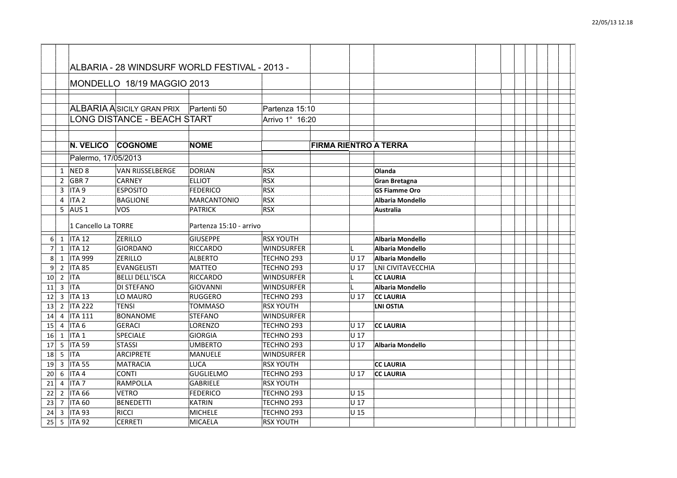|                |                |                             | ALBARIA ASICILY GRAN PRIX Partenti 50 |                           | Partenza 15:10                 |                              |                 |                                      |  |  |  |  |
|----------------|----------------|-----------------------------|---------------------------------------|---------------------------|--------------------------------|------------------------------|-----------------|--------------------------------------|--|--|--|--|
|                |                |                             | <b>LONG DISTANCE - BEACH START</b>    |                           | Arrivo 1° 16:20                |                              |                 |                                      |  |  |  |  |
|                |                |                             |                                       |                           |                                |                              |                 |                                      |  |  |  |  |
|                |                |                             |                                       |                           |                                |                              |                 |                                      |  |  |  |  |
|                |                | N. VELICO                   | <b>COGNOME</b>                        | <b>NOME</b>               |                                | <b>FIRMA RIENTRO A TERRA</b> |                 |                                      |  |  |  |  |
|                |                | Palermo, 17/05/2013         |                                       |                           |                                |                              |                 |                                      |  |  |  |  |
|                | 1              | NED <sub>8</sub>            | <b>VAN RIJSSELBERGE</b>               | DORIAN                    | <b>RSX</b>                     |                              |                 | Olanda                               |  |  |  |  |
|                | $\overline{2}$ | GBR <sub>7</sub>            | <b>CARNEY</b>                         | <b>ELLIOT</b>             | <b>RSX</b>                     |                              |                 | <b>Gran Bretagna</b>                 |  |  |  |  |
|                | 3              | ITA <sub>9</sub>            | <b>ESPOSITO</b>                       | <b>FEDERICO</b>           | <b>RSX</b>                     |                              |                 | <b>GS Fiamme Oro</b>                 |  |  |  |  |
|                | 4              | ITA <sub>2</sub>            | <b>BAGLIONE</b>                       | MARCANTONIO               | <b>RSX</b>                     |                              |                 | <b>Albaria Mondello</b>              |  |  |  |  |
|                | 5              | AUS <sub>1</sub>            | <b>VOS</b>                            | <b>PATRICK</b>            | <b>RSX</b>                     |                              |                 | Australia                            |  |  |  |  |
|                |                | 1 Cancello La TORRE         |                                       | Partenza 15:10 - arrivo   |                                |                              |                 |                                      |  |  |  |  |
|                |                |                             |                                       |                           |                                |                              |                 |                                      |  |  |  |  |
| 6              | 1              | <b>ITA 12</b>               | <b>ZERILLO</b>                        | <b>GIUSEPPE</b>           | <b>RSX YOUTH</b>               |                              |                 | Albaria Mondello                     |  |  |  |  |
| $\overline{7}$ | $\mathbf{1}$   | <b>ITA 12</b>               | GIORDANO                              | RICCARDO                  | <b>WINDSURFER</b>              |                              |                 | Albaria Mondello                     |  |  |  |  |
| 8              | $\mathbf{1}$   | <b>ITA 999</b>              | <b>ZERILLO</b>                        | <b>ALBERTO</b>            | TECHNO 293                     |                              | IU 17           | Albaria Mondello                     |  |  |  |  |
| 9              | $\overline{2}$ | <b>ITA 85</b>               | <b>EVANGELISTI</b>                    | MATTEO                    | TECHNO 293                     |                              | U 17            | LNI CIVITAVECCHIA                    |  |  |  |  |
| 10             | $\overline{2}$ | <b>ITA</b>                  | <b>BELLI DELL'ISCA</b>                | RICCARDO                  | <b>WINDSURFER</b>              |                              |                 | <b>CC LAURIA</b>                     |  |  |  |  |
| 11             | 3              | <b>ITA</b>                  | <b>DI STEFANO</b>                     | GIOVANNI                  | <b>WINDSURFER</b>              |                              |                 | Albaria Mondello                     |  |  |  |  |
| 12             |                | $3$   ITA 13<br>2   ITA 222 | LO MAURO<br><b>TENSI</b>              | RUGGERO<br><b>TOMMASO</b> | TECHNO 293<br><b>RSX YOUTH</b> |                              | U 17            | <b>CC LAURIA</b><br><b>LNI OSTIA</b> |  |  |  |  |
| 13<br>14       |                | 4   ITA 111                 | BONANOME                              | STEFANO                   | <b>WINDSURFER</b>              |                              |                 |                                      |  |  |  |  |
| 15             | $\overline{4}$ | ITA <sub>6</sub>            | <b>GERACI</b>                         | LORENZO                   | TECHNO 293                     |                              | IU 17           | <b>CC LAURIA</b>                     |  |  |  |  |
| 16             | 1              | ITA <sub>1</sub>            | <b>SPECIALE</b>                       | GIORGIA                   | TECHNO 293                     |                              | U 17            |                                      |  |  |  |  |
| 17             | 5              | <b>ITA 59</b>               | STASSI                                | <b>UMBERTO</b>            | TECHNO 293                     |                              | U <sub>17</sub> | Albaria Mondello                     |  |  |  |  |
| 18             | 5              | <b>ITA</b>                  | ARCIPRETE                             | MANUELE                   | <b>WINDSURFER</b>              |                              |                 |                                      |  |  |  |  |
| 19             | $\overline{3}$ | <b>ITA 55</b>               | MATRACIA                              | <b>LUCA</b>               | <b>RSX YOUTH</b>               |                              |                 | <b>CC LAURIA</b>                     |  |  |  |  |
| 20             | 6              | ITA4                        | <b>CONTI</b>                          | GUGLIELMO                 | TECHNO 293                     |                              | U 17            | <b>CC LAURIA</b>                     |  |  |  |  |
| 21             |                | $4$ ITA 7                   | RAMPOLLA                              | GABRIELE                  | <b>RSX YOUTH</b>               |                              |                 |                                      |  |  |  |  |
| 22             |                | $2$  ITA 66                 | <b>VETRO</b>                          | FEDERICO                  | TECHNO 293                     |                              | U 15            |                                      |  |  |  |  |
| 23             |                | 7   ITA 60                  | <b>BENEDETTI</b>                      | KATRIN                    | TECHNO <sub>293</sub>          |                              | U 17            |                                      |  |  |  |  |
| 24             | 3              | <b>ITA 93</b>               | <b>RICCI</b>                          | <b>MICHELE</b>            | TECHNO 293                     |                              | U 15            |                                      |  |  |  |  |
| 25             |                | 5   ITA 92                  | <b>CERRETI</b>                        | <b>MICAELA</b>            | <b>RSX YOUTH</b>               |                              |                 |                                      |  |  |  |  |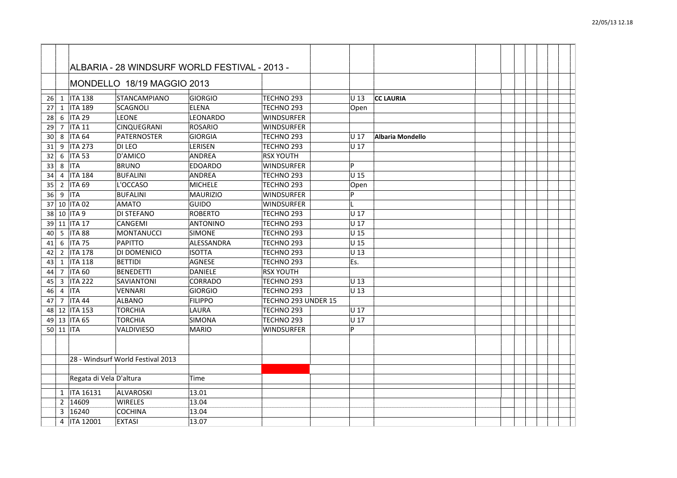| 26 |                | 1   ITA 138             | STANCAMPIANO                      | <b>GIORGIO</b> | TECHNO <sub>293</sub> | U 13  | <b>CC LAURIA</b> |  |  |  |
|----|----------------|-------------------------|-----------------------------------|----------------|-----------------------|-------|------------------|--|--|--|
| 27 | 1              | <b>ITA 189</b>          | <b>SCAGNOLI</b>                   | <b>ELENA</b>   | TECHNO <sub>293</sub> | Open  |                  |  |  |  |
| 28 | 6              | ITA 29                  | <b>LEONE</b>                      | LEONARDO       | <b>WINDSURFER</b>     |       |                  |  |  |  |
| 29 | $\overline{7}$ | <b>ITA 11</b>           | CINQUEGRANI                       | ROSARIO        | WINDSURFER            |       |                  |  |  |  |
| 30 | 8              | <b>ITA 64</b>           | PATERNOSTER                       | GIORGIA        | TECHNO 293            | U 17  | Albaria Mondello |  |  |  |
| 31 | 9              | <b>ITA 273</b>          | DI LEO                            | <b>LERISEN</b> | TECHNO 293            | lu 17 |                  |  |  |  |
| 32 | 6              | <b>ITA 53</b>           | <b>D'AMICO</b>                    | <b>ANDREA</b>  | <b>RSX YOUTH</b>      |       |                  |  |  |  |
| 33 | 8              | <b>ITA</b>              | <b>BRUNO</b>                      | EDOARDO        | WINDSURFER            | D     |                  |  |  |  |
| 34 | 4              | <b>ITA 184</b>          | <b>BUFALINI</b>                   | <b>ANDREA</b>  | TECHNO <sub>293</sub> | U 15  |                  |  |  |  |
| 35 | $\overline{2}$ | <b>ITA 69</b>           | L'OCCASO                          | MICHELE        | TECHNO <sub>293</sub> | Open  |                  |  |  |  |
| 36 | 9              | <b>ITA</b>              | <b>BUFALINI</b>                   | MAURIZIO       | WINDSURFER            | D     |                  |  |  |  |
|    |                | 37 10 ITA 02            | <b>AMATO</b>                      | GUIDO          | <b>WINDSURFER</b>     |       |                  |  |  |  |
| 38 |                | 10   ITA 9              | <b>DI STEFANO</b>                 | ROBERTO        | TECHNO <sub>293</sub> | U 17  |                  |  |  |  |
| 39 | 11             | <b>ITA 17</b>           | CANGEMI                           | ANTONINO       | TECHNO <sub>293</sub> | U 17  |                  |  |  |  |
| 40 | 5              | <b>ITA 88</b>           | MONTANUCCI                        | <b>SIMONE</b>  | TECHNO 293            | U 15  |                  |  |  |  |
| 41 | 6              | <b>ITA 75</b>           | PAPITTO                           | ALESSANDRA     | TECHNO <sub>293</sub> | U 15  |                  |  |  |  |
| 42 |                | 2 ITA 178               | DI DOMENICO                       | <b>ISOTTA</b>  | TECHNO <sub>293</sub> | U 13  |                  |  |  |  |
| 43 | $\mathbf{1}$   | <b>ITA 118</b>          | <b>BETTIDI</b>                    | AGNESE         | TECHNO <sub>293</sub> | Es.   |                  |  |  |  |
| 44 | $\overline{7}$ | <b>ITA 60</b>           | BENEDETTI                         | DANIELE        | <b>RSX YOUTH</b>      |       |                  |  |  |  |
| 45 | 3              | <b>ITA 222</b>          | SAVIANTONI                        | CORRADO        | TECHNO <sub>293</sub> | lU 13 |                  |  |  |  |
| 46 | 4              | <b>ITA</b>              | <b>VENNARI</b>                    | GIORGIO        | TECHNO <sub>293</sub> | U 13  |                  |  |  |  |
| 47 | 7              | <b>ITA 44</b>           | ALBANO                            | FILIPPO        | TECHNO 293 UNDER 15   |       |                  |  |  |  |
| 48 |                | 12   ITA 153            | <b>TORCHIA</b>                    | LAURA          | TECHNO <sub>293</sub> | U 17  |                  |  |  |  |
| 49 |                | 13   ITA 65             | <b>TORCHIA</b>                    | SIMONA         | TECHNO <sub>293</sub> | U 17  |                  |  |  |  |
|    | $50$ 11        | <b>ITA</b>              | VALDIVIESO                        | MARIO          | <b>WINDSURFER</b>     | D     |                  |  |  |  |
|    |                |                         |                                   |                |                       |       |                  |  |  |  |
|    |                |                         | 28 - Windsurf World Festival 2013 |                |                       |       |                  |  |  |  |
|    |                |                         |                                   |                |                       |       |                  |  |  |  |
|    |                | Regata di Vela D'altura |                                   | Time           |                       |       |                  |  |  |  |
|    | 1              | <b>ITA 16131</b>        | ALVAROSKI                         | 13.01          |                       |       |                  |  |  |  |
|    | $\overline{2}$ | 14609                   | <b>WIRELES</b>                    | 13.04          |                       |       |                  |  |  |  |
|    | 3              | 16240                   | <b>COCHINA</b>                    | 13.04          |                       |       |                  |  |  |  |
|    | 4              | <b>ITA 12001</b>        | <b>EXTASI</b>                     | 13.07          |                       |       |                  |  |  |  |